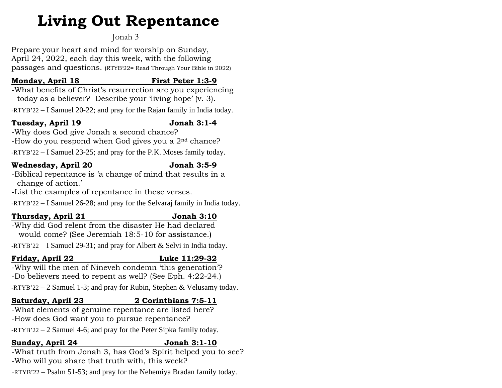# **Living Out Repentance**

# Jonah 3

Prepare your heart and mind for worship on Sunday, April 24, 2022, each day this week, with the following passages and questions. (RTYB'22= Read Through Your Bible in 2022)

# **Monday, April 18 First Peter 1:3-9**

-What benefits of Christ's resurrection are you experiencing today as a believer? Describe your 'living hope' (v. 3).

-RTYB'22 – I Samuel 20-22; and pray for the Rajan family in India today.

### **Tuesday, April 19 Jonah 3:1-4**

-Why does God give Jonah a second chance?

-How do you respond when God gives you a 2nd chance?

-RTYB'22 – I Samuel 23-25; and pray for the P.K. Moses family today.

# **Wednesday, April 20 Jonah 3:5-9**

-Biblical repentance is 'a change of mind that results in a change of action.'

-List the examples of repentance in these verses.

-RTYB'22 – I Samuel 26-28; and pray for the Selvaraj family in India today.

# **Thursday, April 21 Jonah 3:10**

-Why did God relent from the disaster He had declared would come? (See Jeremiah 18:5-10 for assistance.)

-RTYB'22 – I Samuel 29-31; and pray for Albert & Selvi in India today.

# **Friday, April 22 Luke 11:29-32**

-Why will the men of Nineveh condemn 'this generation'? -Do believers need to repent as well? (See Eph. 4:22-24.) -RTYB'22 – 2 Samuel 1-3; and pray for Rubin, Stephen & Velusamy today.

# **Saturday, April 23 2 Corinthians 7:5-11**

-What elements of genuine repentance are listed here? -How does God want you to pursue repentance?

-RTYB'22 – 2 Samuel 4-6; and pray for the Peter Sipka family today.

#### **Sunday, April 24 Jonah 3:1-10**

-What truth from Jonah 3, has God's Spirit helped you to see? -Who will you share that truth with, this week?

-RTYB'22 – Psalm 51-53; and pray for the Nehemiya Bradan family today.